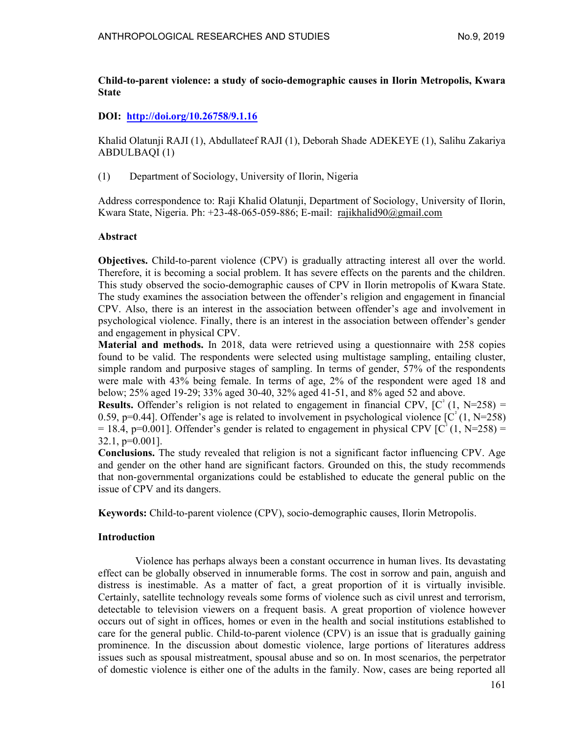### Child-to-parent violence: a study of socio-demographic causes in Ilorin Metropolis, Kwara State

## DOI: http://doi.org/10.26758/9.1.16

Khalid Olatunji RAJI (1), Abdullateef RAJI (1), Deborah Shade ADEKEYE (1), Salihu Zakariya ABDULBAQI (1)

(1) Department of Sociology, University of Ilorin, Nigeria

Address correspondence to: Raji Khalid Olatunji, Department of Sociology, University of Ilorin, Kwara State, Nigeria. Ph:  $+23-48-065-059-886$ ; E-mail: rajikhalid90@gmail.com

### Abstract

Objectives. Child-to-parent violence (CPV) is gradually attracting interest all over the world. Therefore, it is becoming a social problem. It has severe effects on the parents and the children. This study observed the socio-demographic causes of CPV in Ilorin metropolis of Kwara State. The study examines the association between the offender's religion and engagement in financial CPV. Also, there is an interest in the association between offender's age and involvement in psychological violence. Finally, there is an interest in the association between offender's gender and engagement in physical CPV.

Material and methods. In 2018, data were retrieved using a questionnaire with 258 copies found to be valid. The respondents were selected using multistage sampling, entailing cluster, simple random and purposive stages of sampling. In terms of gender, 57% of the respondents were male with 43% being female. In terms of age, 2% of the respondent were aged 18 and below; 25% aged 19-29; 33% aged 30-40, 32% aged 41-51, and 8% aged 52 and above.

**Results.** Offender's religion is not related to engagement in financial CPV,  $[C^{2}(1, N=258)]$ 0.59, p=0.44]. Offender's age is related to involvement in psychological violence  $\lbrack C^{2}(1, N=258) \rbrack$  $= 18.4$ , p=0.001]. Offender's gender is related to engagement in physical CPV [C<sup>°</sup>(1, N=258) = 32.1, p=0.001].

Conclusions. The study revealed that religion is not a significant factor influencing CPV. Age and gender on the other hand are significant factors. Grounded on this, the study recommends that non-governmental organizations could be established to educate the general public on the issue of CPV and its dangers.

Keywords: Child-to-parent violence (CPV), socio-demographic causes, Ilorin Metropolis.

### Introduction

Violence has perhaps always been a constant occurrence in human lives. Its devastating effect can be globally observed in innumerable forms. The cost in sorrow and pain, anguish and distress is inestimable. As a matter of fact, a great proportion of it is virtually invisible. Certainly, satellite technology reveals some forms of violence such as civil unrest and terrorism, detectable to television viewers on a frequent basis. A great proportion of violence however occurs out of sight in offices, homes or even in the health and social institutions established to care for the general public. Child-to-parent violence (CPV) is an issue that is gradually gaining prominence. In the discussion about domestic violence, large portions of literatures address issues such as spousal mistreatment, spousal abuse and so on. In most scenarios, the perpetrator of domestic violence is either one of the adults in the family. Now, cases are being reported all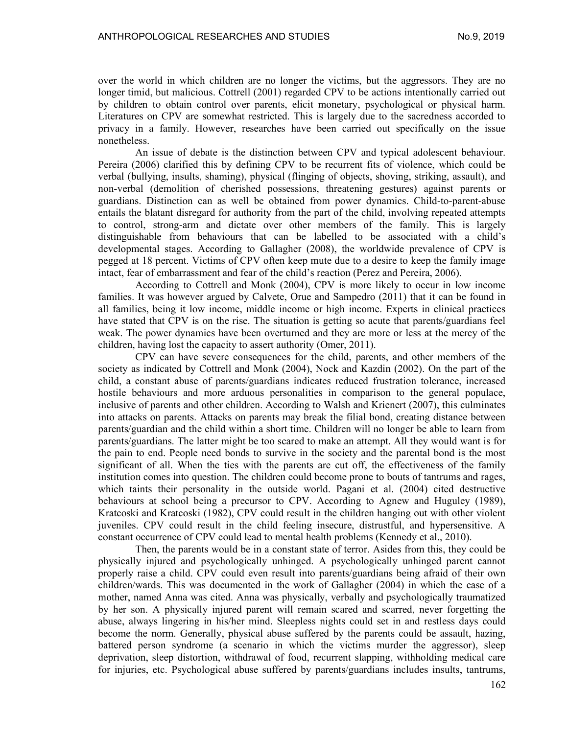over the world in which children are no longer the victims, but the aggressors. They are no longer timid, but malicious. Cottrell (2001) regarded CPV to be actions intentionally carried out by children to obtain control over parents, elicit monetary, psychological or physical harm. Literatures on CPV are somewhat restricted. This is largely due to the sacredness accorded to privacy in a family. However, researches have been carried out specifically on the issue nonetheless.

An issue of debate is the distinction between CPV and typical adolescent behaviour. Pereira (2006) clarified this by defining CPV to be recurrent fits of violence, which could be verbal (bullying, insults, shaming), physical (flinging of objects, shoving, striking, assault), and non-verbal (demolition of cherished possessions, threatening gestures) against parents or guardians. Distinction can as well be obtained from power dynamics. Child-to-parent-abuse entails the blatant disregard for authority from the part of the child, involving repeated attempts to control, strong-arm and dictate over other members of the family. This is largely distinguishable from behaviours that can be labelled to be associated with a child's developmental stages. According to Gallagher (2008), the worldwide prevalence of CPV is pegged at 18 percent. Victims of CPV often keep mute due to a desire to keep the family image intact, fear of embarrassment and fear of the child's reaction (Perez and Pereira, 2006).

According to Cottrell and Monk (2004), CPV is more likely to occur in low income families. It was however argued by Calvete, Orue and Sampedro (2011) that it can be found in all families, being it low income, middle income or high income. Experts in clinical practices have stated that CPV is on the rise. The situation is getting so acute that parents/guardians feel weak. The power dynamics have been overturned and they are more or less at the mercy of the children, having lost the capacity to assert authority (Omer, 2011).

CPV can have severe consequences for the child, parents, and other members of the society as indicated by Cottrell and Monk (2004), Nock and Kazdin (2002). On the part of the child, a constant abuse of parents/guardians indicates reduced frustration tolerance, increased hostile behaviours and more arduous personalities in comparison to the general populace, inclusive of parents and other children. According to Walsh and Krienert (2007), this culminates into attacks on parents. Attacks on parents may break the filial bond, creating distance between parents/guardian and the child within a short time. Children will no longer be able to learn from parents/guardians. The latter might be too scared to make an attempt. All they would want is for the pain to end. People need bonds to survive in the society and the parental bond is the most significant of all. When the ties with the parents are cut off, the effectiveness of the family institution comes into question. The children could become prone to bouts of tantrums and rages, which taints their personality in the outside world. Pagani et al. (2004) cited destructive behaviours at school being a precursor to CPV. According to Agnew and Huguley (1989), Kratcoski and Kratcoski (1982), CPV could result in the children hanging out with other violent juveniles. CPV could result in the child feeling insecure, distrustful, and hypersensitive. A constant occurrence of CPV could lead to mental health problems (Kennedy et al., 2010).

Then, the parents would be in a constant state of terror. Asides from this, they could be physically injured and psychologically unhinged. A psychologically unhinged parent cannot properly raise a child. CPV could even result into parents/guardians being afraid of their own children/wards. This was documented in the work of Gallagher (2004) in which the case of a mother, named Anna was cited. Anna was physically, verbally and psychologically traumatized by her son. A physically injured parent will remain scared and scarred, never forgetting the abuse, always lingering in his/her mind. Sleepless nights could set in and restless days could become the norm. Generally, physical abuse suffered by the parents could be assault, hazing, battered person syndrome (a scenario in which the victims murder the aggressor), sleep deprivation, sleep distortion, withdrawal of food, recurrent slapping, withholding medical care for injuries, etc. Psychological abuse suffered by parents/guardians includes insults, tantrums,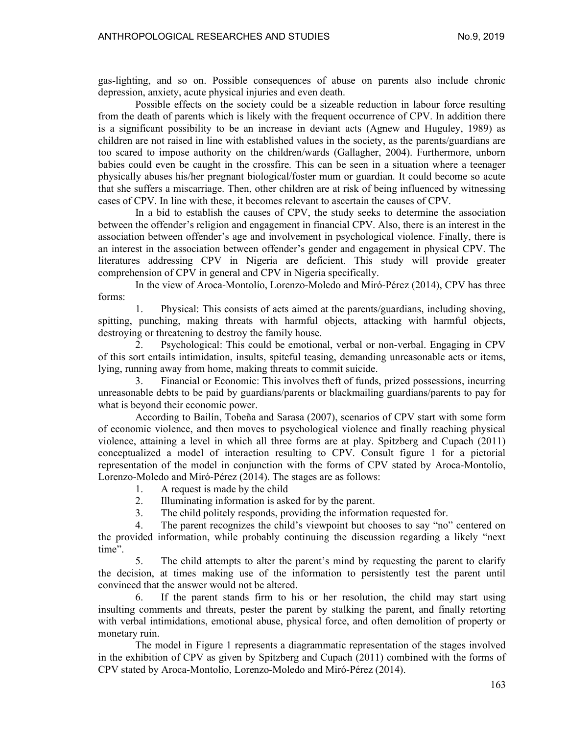gas-lighting, and so on. Possible consequences of abuse on parents also include chronic depression, anxiety, acute physical injuries and even death.

Possible effects on the society could be a sizeable reduction in labour force resulting from the death of parents which is likely with the frequent occurrence of CPV. In addition there is a significant possibility to be an increase in deviant acts (Agnew and Huguley, 1989) as children are not raised in line with established values in the society, as the parents/guardians are too scared to impose authority on the children/wards (Gallagher, 2004). Furthermore, unborn babies could even be caught in the crossfire. This can be seen in a situation where a teenager physically abuses his/her pregnant biological/foster mum or guardian. It could become so acute that she suffers a miscarriage. Then, other children are at risk of being influenced by witnessing cases of CPV. In line with these, it becomes relevant to ascertain the causes of CPV.

In a bid to establish the causes of CPV, the study seeks to determine the association between the offender's religion and engagement in financial CPV. Also, there is an interest in the association between offender's age and involvement in psychological violence. Finally, there is an interest in the association between offender's gender and engagement in physical CPV. The literatures addressing CPV in Nigeria are deficient. This study will provide greater comprehension of CPV in general and CPV in Nigeria specifically.

In the view of Aroca-Montolío, Lorenzo-Moledo and Miró-Pérez (2014), CPV has three forms:

1. Physical: This consists of acts aimed at the parents/guardians, including shoving, spitting, punching, making threats with harmful objects, attacking with harmful objects, destroying or threatening to destroy the family house.

2. Psychological: This could be emotional, verbal or non-verbal. Engaging in CPV of this sort entails intimidation, insults, spiteful teasing, demanding unreasonable acts or items, lying, running away from home, making threats to commit suicide.

3. Financial or Economic: This involves theft of funds, prized possessions, incurring unreasonable debts to be paid by guardians/parents or blackmailing guardians/parents to pay for what is beyond their economic power.

According to Bailín, Tobeña and Sarasa (2007), scenarios of CPV start with some form of economic violence, and then moves to psychological violence and finally reaching physical violence, attaining a level in which all three forms are at play. Spitzberg and Cupach (2011) conceptualized a model of interaction resulting to CPV. Consult figure 1 for a pictorial representation of the model in conjunction with the forms of CPV stated by Aroca-Montolío, Lorenzo-Moledo and Miró-Pérez (2014). The stages are as follows:

1. A request is made by the child

2. Illuminating information is asked for by the parent.

3. The child politely responds, providing the information requested for.

4. The parent recognizes the child's viewpoint but chooses to say "no" centered on the provided information, while probably continuing the discussion regarding a likely "next time".

5. The child attempts to alter the parent's mind by requesting the parent to clarify the decision, at times making use of the information to persistently test the parent until convinced that the answer would not be altered.

6. If the parent stands firm to his or her resolution, the child may start using insulting comments and threats, pester the parent by stalking the parent, and finally retorting with verbal intimidations, emotional abuse, physical force, and often demolition of property or monetary ruin.

The model in Figure 1 represents a diagrammatic representation of the stages involved in the exhibition of CPV as given by Spitzberg and Cupach (2011) combined with the forms of CPV stated by Aroca-Montolío, Lorenzo-Moledo and Miró-Pérez (2014).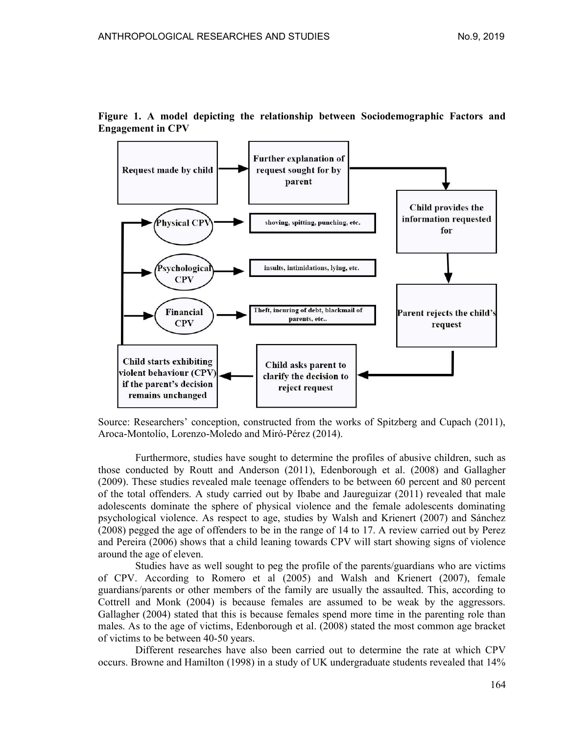

Figure 1. A model depicting the relationship between Sociodemographic Factors and Engagement in CPV

Source: Researchers' conception, constructed from the works of Spitzberg and Cupach (2011), Aroca-Montolío, Lorenzo-Moledo and Miró-Pérez (2014).

Furthermore, studies have sought to determine the profiles of abusive children, such as those conducted by Routt and Anderson (2011), Edenborough et al. (2008) and Gallagher (2009). These studies revealed male teenage offenders to be between 60 percent and 80 percent of the total offenders. A study carried out by Ibabe and Jaureguizar (2011) revealed that male adolescents dominate the sphere of physical violence and the female adolescents dominating psychological violence. As respect to age, studies by Walsh and Krienert (2007) and Sánchez (2008) pegged the age of offenders to be in the range of 14 to 17. A review carried out by Perez and Pereira (2006) shows that a child leaning towards CPV will start showing signs of violence around the age of eleven.

Studies have as well sought to peg the profile of the parents/guardians who are victims of CPV. According to Romero et al (2005) and Walsh and Krienert (2007), female guardians/parents or other members of the family are usually the assaulted. This, according to Cottrell and Monk (2004) is because females are assumed to be weak by the aggressors. Gallagher (2004) stated that this is because females spend more time in the parenting role than males. As to the age of victims, Edenborough et al. (2008) stated the most common age bracket of victims to be between 40-50 years.

Different researches have also been carried out to determine the rate at which CPV occurs. Browne and Hamilton (1998) in a study of UK undergraduate students revealed that 14%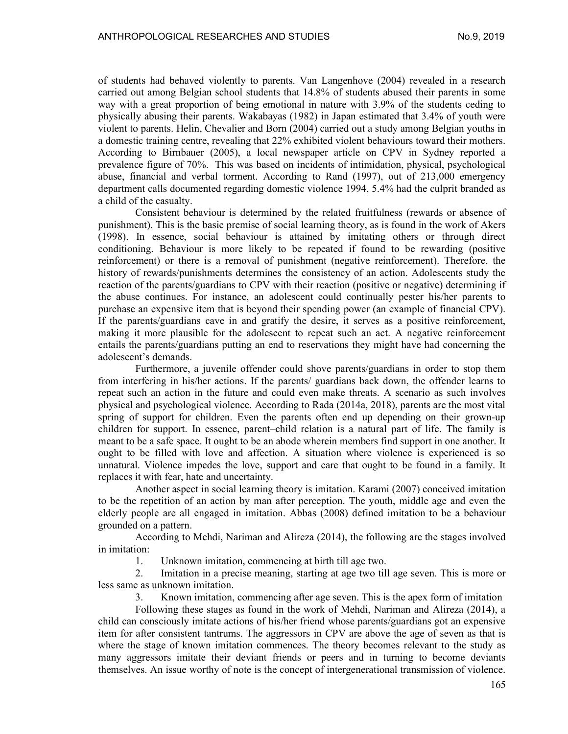of students had behaved violently to parents. Van Langenhove (2004) revealed in a research carried out among Belgian school students that 14.8% of students abused their parents in some way with a great proportion of being emotional in nature with 3.9% of the students ceding to physically abusing their parents. Wakabayas (1982) in Japan estimated that 3.4% of youth were violent to parents. Helin, Chevalier and Born (2004) carried out a study among Belgian youths in a domestic training centre, revealing that 22% exhibited violent behaviours toward their mothers. According to Birnbauer (2005), a local newspaper article on CPV in Sydney reported a prevalence figure of 70%. This was based on incidents of intimidation, physical, psychological abuse, financial and verbal torment. According to Rand (1997), out of 213,000 emergency department calls documented regarding domestic violence 1994, 5.4% had the culprit branded as a child of the casualty.

Consistent behaviour is determined by the related fruitfulness (rewards or absence of punishment). This is the basic premise of social learning theory, as is found in the work of Akers (1998). In essence, social behaviour is attained by imitating others or through direct conditioning. Behaviour is more likely to be repeated if found to be rewarding (positive reinforcement) or there is a removal of punishment (negative reinforcement). Therefore, the history of rewards/punishments determines the consistency of an action. Adolescents study the reaction of the parents/guardians to CPV with their reaction (positive or negative) determining if the abuse continues. For instance, an adolescent could continually pester his/her parents to purchase an expensive item that is beyond their spending power (an example of financial CPV). If the parents/guardians cave in and gratify the desire, it serves as a positive reinforcement, making it more plausible for the adolescent to repeat such an act. A negative reinforcement entails the parents/guardians putting an end to reservations they might have had concerning the adolescent's demands.

Furthermore, a juvenile offender could shove parents/guardians in order to stop them from interfering in his/her actions. If the parents/ guardians back down, the offender learns to repeat such an action in the future and could even make threats. A scenario as such involves physical and psychological violence. According to Rada (2014a, 2018), parents are the most vital spring of support for children. Even the parents often end up depending on their grown-up children for support. In essence, parent–child relation is a natural part of life. The family is meant to be a safe space. It ought to be an abode wherein members find support in one another. It ought to be filled with love and affection. A situation where violence is experienced is so unnatural. Violence impedes the love, support and care that ought to be found in a family. It replaces it with fear, hate and uncertainty.

Another aspect in social learning theory is imitation. Karami (2007) conceived imitation to be the repetition of an action by man after perception. The youth, middle age and even the elderly people are all engaged in imitation. Abbas (2008) defined imitation to be a behaviour grounded on a pattern.

According to Mehdi, Nariman and Alireza (2014), the following are the stages involved in imitation:

1. Unknown imitation, commencing at birth till age two.

2. Imitation in a precise meaning, starting at age two till age seven. This is more or less same as unknown imitation.

3. Known imitation, commencing after age seven. This is the apex form of imitation

Following these stages as found in the work of Mehdi, Nariman and Alireza (2014), a child can consciously imitate actions of his/her friend whose parents/guardians got an expensive item for after consistent tantrums. The aggressors in CPV are above the age of seven as that is where the stage of known imitation commences. The theory becomes relevant to the study as many aggressors imitate their deviant friends or peers and in turning to become deviants themselves. An issue worthy of note is the concept of intergenerational transmission of violence.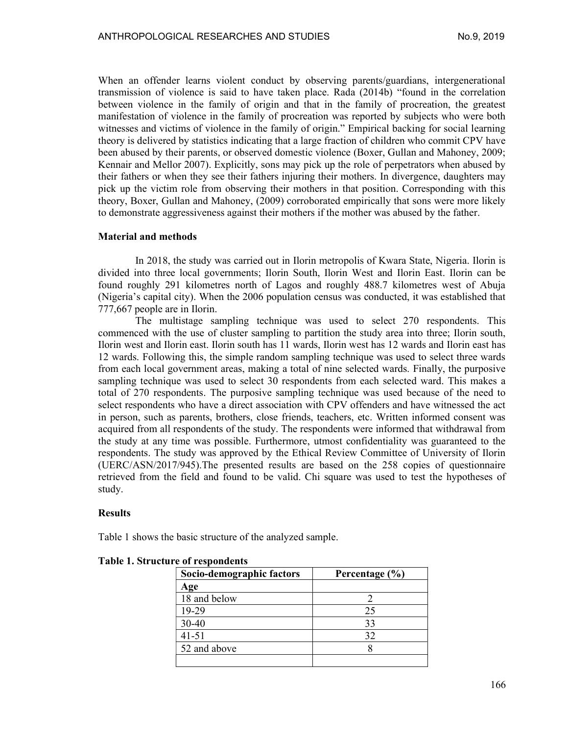When an offender learns violent conduct by observing parents/guardians, intergenerational transmission of violence is said to have taken place. Rada (2014b) "found in the correlation between violence in the family of origin and that in the family of procreation, the greatest manifestation of violence in the family of procreation was reported by subjects who were both witnesses and victims of violence in the family of origin." Empirical backing for social learning theory is delivered by statistics indicating that a large fraction of children who commit CPV have been abused by their parents, or observed domestic violence (Boxer, Gullan and Mahoney, 2009; Kennair and Mellor 2007). Explicitly, sons may pick up the role of perpetrators when abused by their fathers or when they see their fathers injuring their mothers. In divergence, daughters may pick up the victim role from observing their mothers in that position. Corresponding with this theory, Boxer, Gullan and Mahoney, (2009) corroborated empirically that sons were more likely to demonstrate aggressiveness against their mothers if the mother was abused by the father.

### Material and methods

In 2018, the study was carried out in Ilorin metropolis of Kwara State, Nigeria. Ilorin is divided into three local governments; Ilorin South, Ilorin West and Ilorin East. Ilorin can be found roughly 291 kilometres north of Lagos and roughly 488.7 kilometres west of Abuja (Nigeria's capital city). When the 2006 population census was conducted, it was established that 777,667 people are in Ilorin.

The multistage sampling technique was used to select 270 respondents. This commenced with the use of cluster sampling to partition the study area into three; Ilorin south, Ilorin west and Ilorin east. Ilorin south has 11 wards, Ilorin west has 12 wards and Ilorin east has 12 wards. Following this, the simple random sampling technique was used to select three wards from each local government areas, making a total of nine selected wards. Finally, the purposive sampling technique was used to select 30 respondents from each selected ward. This makes a total of 270 respondents. The purposive sampling technique was used because of the need to select respondents who have a direct association with CPV offenders and have witnessed the act in person, such as parents, brothers, close friends, teachers, etc. Written informed consent was acquired from all respondents of the study. The respondents were informed that withdrawal from the study at any time was possible. Furthermore, utmost confidentiality was guaranteed to the respondents. The study was approved by the Ethical Review Committee of University of Ilorin (UERC/ASN/2017/945).The presented results are based on the 258 copies of questionnaire retrieved from the field and found to be valid. Chi square was used to test the hypotheses of study.

#### **Results**

Table 1 shows the basic structure of the analyzed sample.

| Socio-demographic factors | Percentage $(\% )$ |  |
|---------------------------|--------------------|--|
| Age                       |                    |  |
| 18 and below              |                    |  |
| 19-29                     | 25                 |  |
| 30-40                     | 33                 |  |
| $41 - 51$                 | 32                 |  |
| 52 and above              |                    |  |
|                           |                    |  |

Table 1. Structure of respondents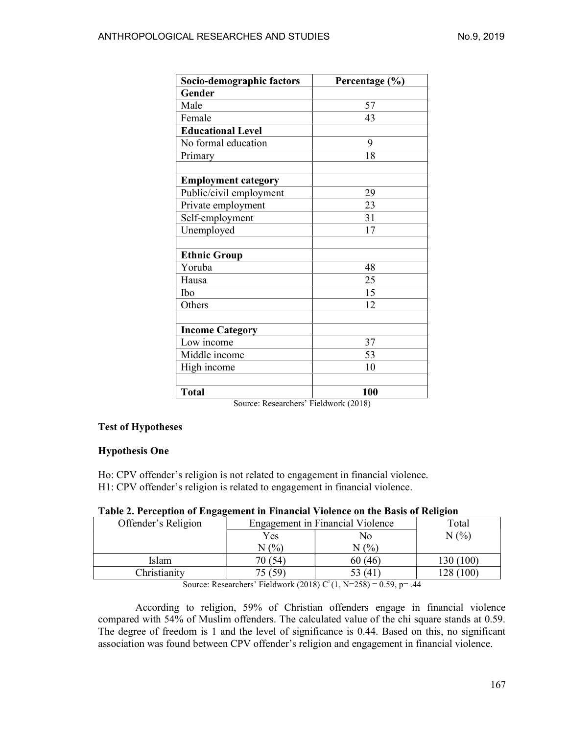| Socio-demographic factors  | Percentage (%) |
|----------------------------|----------------|
| Gender                     |                |
| Male                       | 57             |
| Female                     | 43             |
| <b>Educational Level</b>   |                |
| No formal education        | 9              |
| Primary                    | 18             |
| <b>Employment category</b> |                |
| Public/civil employment    | 29             |
| Private employment         | 23             |
| Self-employment            | 31             |
| Unemployed                 | 17             |
|                            |                |
| <b>Ethnic Group</b>        |                |
| Yoruba                     | 48             |
| Hausa                      | 25             |
| Ibo                        | 15             |
| Others                     | 12             |
|                            |                |
| <b>Income Category</b>     |                |
| Low income                 | 37             |
| Middle income              | 53             |
| High income                | 10             |
|                            |                |
| <b>Total</b>               | 100            |

Source: Researchers' Fieldwork (2018)

# Test of Hypotheses

### Hypothesis One

Ho: CPV offender's religion is not related to engagement in financial violence. H1: CPV offender's religion is related to engagement in financial violence.

|  | Table 2. Perception of Engagement in Financial Violence on the Basis of Religion |
|--|----------------------------------------------------------------------------------|
|  |                                                                                  |

| Offender's Religion | ິ<br><b>Engagement in Financial Violence</b> |         | Total     |
|---------------------|----------------------------------------------|---------|-----------|
|                     | Yes                                          | No      | N(%       |
|                     | (0/6)<br>N                                   | N(%     |           |
| Islam               | 70 (54                                       | 60 (46) | 130 (100) |
| Christianity        | 59                                           | 53 (41) | (100)     |

Source: Researchers' Fieldwork (2018)  $C^{2}(1, N=258) = 0.59$ , p= .44

According to religion, 59% of Christian offenders engage in financial violence compared with 54% of Muslim offenders. The calculated value of the chi square stands at 0.59. The degree of freedom is 1 and the level of significance is 0.44. Based on this, no significant association was found between CPV offender's religion and engagement in financial violence.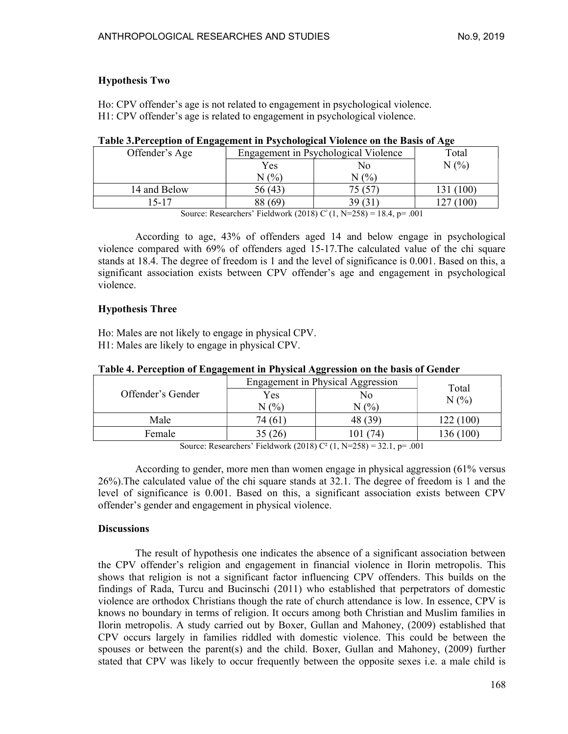# Hypothesis Two

Ho: CPV offender's age is not related to engagement in psychological violence. H1: CPV offender's age is related to engagement in psychological violence.

| Offender's Age | Engagement in Psychological Violence |         | Total |
|----------------|--------------------------------------|---------|-------|
|                | Yes                                  | No      | (9/0) |
|                | (0/0)<br>N                           | $N$ (%) |       |
| 14 and Below   | 56 (43)                              |         | (100) |
| 15-17          | -69<br>88                            | 39.     | 100)  |

### Table 3.Perception of Engagement in Psychological Violence on the Basis of Age

Source: Researchers' Fieldwork (2018)  $C^{2}(1, N=258) = 18.4$ , p= .001

According to age, 43% of offenders aged 14 and below engage in psychological violence compared with 69% of offenders aged 15-17.The calculated value of the chi square stands at 18.4. The degree of freedom is 1 and the level of significance is 0.001. Based on this, a significant association exists between CPV offender's age and engagement in psychological violence.

### Hypothesis Three

Ho: Males are not likely to engage in physical CPV. H1: Males are likely to engage in physical CPV.

| ິ                 |                                   | ັ         |           |
|-------------------|-----------------------------------|-----------|-----------|
|                   | Engagement in Physical Aggression |           | Total     |
| Offender's Gender | Yes                               | No        | N(%       |
|                   | $N$ (%)                           | $N(\%)$   |           |
| Male              | 74 (61                            | 48 (39)   | 122 (100) |
| Female            |                                   | 74<br>101 | 136 (100) |
|                   |                                   |           |           |

### Table 4. Perception of Engagement in Physical Aggression on the basis of Gender

Source: Researchers' Fieldwork (2018) C<sup>2</sup> (1, N=258) = 32.1, p= .001

According to gender, more men than women engage in physical aggression (61% versus 26%).The calculated value of the chi square stands at 32.1. The degree of freedom is 1 and the level of significance is 0.001. Based on this, a significant association exists between CPV offender's gender and engagement in physical violence.

### **Discussions**

The result of hypothesis one indicates the absence of a significant association between the CPV offender's religion and engagement in financial violence in Ilorin metropolis. This shows that religion is not a significant factor influencing CPV offenders. This builds on the findings of Rada, Turcu and Bucinschi (2011) who established that perpetrators of domestic violence are orthodox Christians though the rate of church attendance is low. In essence, CPV is knows no boundary in terms of religion. It occurs among both Christian and Muslim families in Ilorin metropolis. A study carried out by Boxer, Gullan and Mahoney, (2009) established that CPV occurs largely in families riddled with domestic violence. This could be between the spouses or between the parent(s) and the child. Boxer, Gullan and Mahoney,  $(2009)$  further stated that CPV was likely to occur frequently between the opposite sexes i.e. a male child is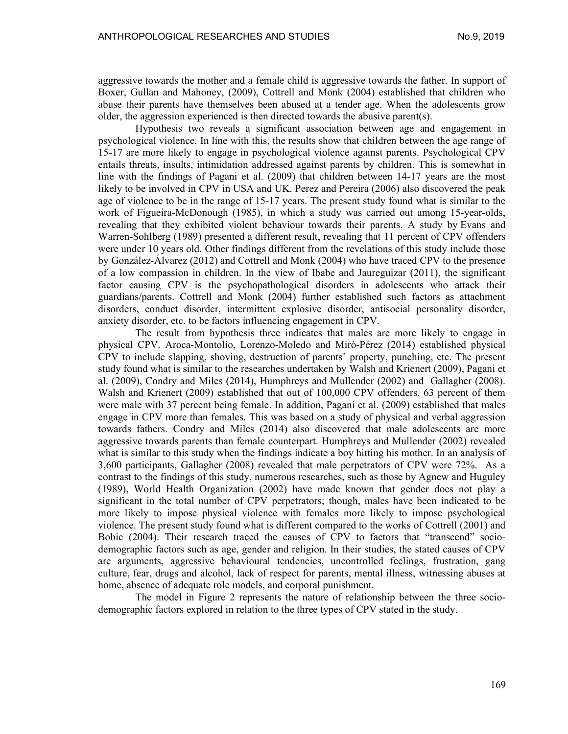aggressive towards the mother and a female child is aggressive towards the father. In support of Boxer, Gullan and Mahoney, (2009), Cottrell and Monk (2004) established that children who abuse their parents have themselves been abused at a tender age. When the adolescents grow older, the aggression experienced is then directed towards the abusive parent(s).

Hypothesis two reveals a significant association between age and engagement in psychological violence. In line with this, the results show that children between the age range of 15-17 are more likely to engage in psychological violence against parents. Psychological CPV entails threats, insults, intimidation addressed against parents by children. This is somewhat in line with the findings of Pagani et al. (2009) that children between 14-17 years are the most likely to be involved in CPV in USA and UK. Perez and Pereira (2006) also discovered the peak age of violence to be in the range of 15-17 years. The present study found what is similar to the work of Figueira-McDonough (1985), in which a study was carried out among 15-year-olds, revealing that they exhibited violent behaviour towards their parents. A study by Evans and Warren-Sohlberg (1989) presented a different result, revealing that 11 percent of CPV offenders were under 10 years old. Other findings different from the revelations of this study include those by González-Álvarez (2012) and Cottrell and Monk (2004) who have traced CPV to the presence of a low compassion in children. In the view of Ibabe and Jaureguizar (2011), the significant factor causing CPV is the psychopathological disorders in adolescents who attack their guardians/parents. Cottrell and Monk (2004) further established such factors as attachment disorders, conduct disorder, intermittent explosive disorder, antisocial personality disorder, anxiety disorder, etc. to be factors influencing engagement in CPV.

The result from hypothesis three indicates that males are more likely to engage in physical CPV. Aroca-Montolío, Lorenzo-Moledo and Miró-Pérez (2014) established physical CPV to include slapping, shoving, destruction of parents' property, punching, etc. The present study found what is similar to the researches undertaken by Walsh and Krienert (2009), Pagani et al. (2009), Condry and Miles (2014), Humphreys and Mullender (2002) and Gallagher (2008). Walsh and Krienert (2009) established that out of 100,000 CPV offenders, 63 percent of them were male with 37 percent being female. In addition, Pagani et al. (2009) established that males engage in CPV more than females. This was based on a study of physical and verbal aggression towards fathers. Condry and Miles (2014) also discovered that male adolescents are more aggressive towards parents than female counterpart. Humphreys and Mullender (2002) revealed what is similar to this study when the findings indicate a boy hitting his mother. In an analysis of 3,600 participants, Gallagher (2008) revealed that male perpetrators of CPV were 72%. As a contrast to the findings of this study, numerous researches, such as those by Agnew and Huguley (1989), World Health Organization (2002) have made known that gender does not play a significant in the total number of CPV perpetrators; though, males have been indicated to be more likely to impose physical violence with females more likely to impose psychological violence. The present study found what is different compared to the works of Cottrell (2001) and Bobic (2004). Their research traced the causes of CPV to factors that "transcend" sociodemographic factors such as age, gender and religion. In their studies, the stated causes of CPV are arguments, aggressive behavioural tendencies, uncontrolled feelings, frustration, gang culture, fear, drugs and alcohol, lack of respect for parents, mental illness, witnessing abuses at home, absence of adequate role models, and corporal punishment.

The model in Figure 2 represents the nature of relationship between the three sociodemographic factors explored in relation to the three types of CPV stated in the study.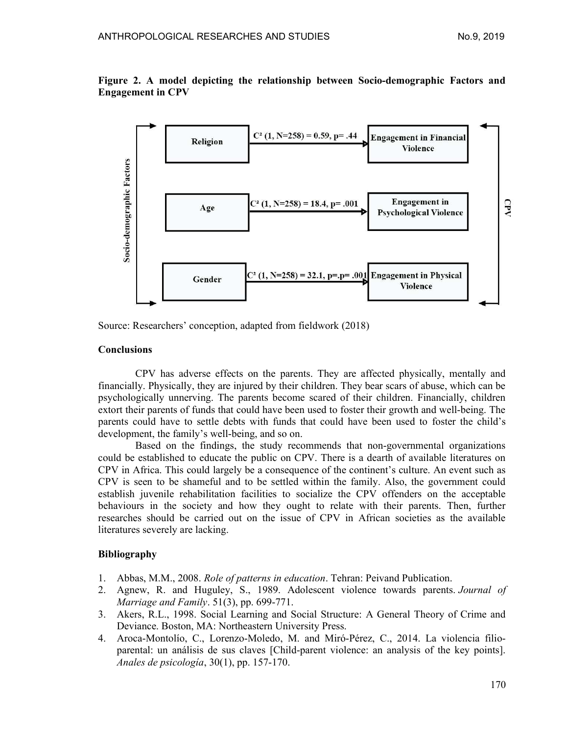

Figure 2. A model depicting the relationship between Socio-demographic Factors and Engagement in CPV

Source: Researchers' conception, adapted from fieldwork (2018)

#### **Conclusions**

CPV has adverse effects on the parents. They are affected physically, mentally and financially. Physically, they are injured by their children. They bear scars of abuse, which can be psychologically unnerving. The parents become scared of their children. Financially, children extort their parents of funds that could have been used to foster their growth and well-being. The parents could have to settle debts with funds that could have been used to foster the child's development, the family's well-being, and so on.

Based on the findings, the study recommends that non-governmental organizations could be established to educate the public on CPV. There is a dearth of available literatures on CPV in Africa. This could largely be a consequence of the continent's culture. An event such as CPV is seen to be shameful and to be settled within the family. Also, the government could establish juvenile rehabilitation facilities to socialize the CPV offenders on the acceptable behaviours in the society and how they ought to relate with their parents. Then, further researches should be carried out on the issue of CPV in African societies as the available literatures severely are lacking.

### Bibliography

- 1. Abbas, M.M., 2008. Role of patterns in education. Tehran: Peivand Publication.
- 2. Agnew, R. and Huguley, S., 1989. Adolescent violence towards parents. Journal of Marriage and Family. 51(3), pp. 699-771.
- 3. Akers, R.L., 1998. Social Learning and Social Structure: A General Theory of Crime and Deviance. Boston, MA: Northeastern University Press.
- 4. Aroca-Montolío, C., Lorenzo-Moledo, M. and Miró-Pérez, C., 2014. La violencia filioparental: un análisis de sus claves [Child-parent violence: an analysis of the key points]. Anales de psicología, 30(1), pp. 157-170.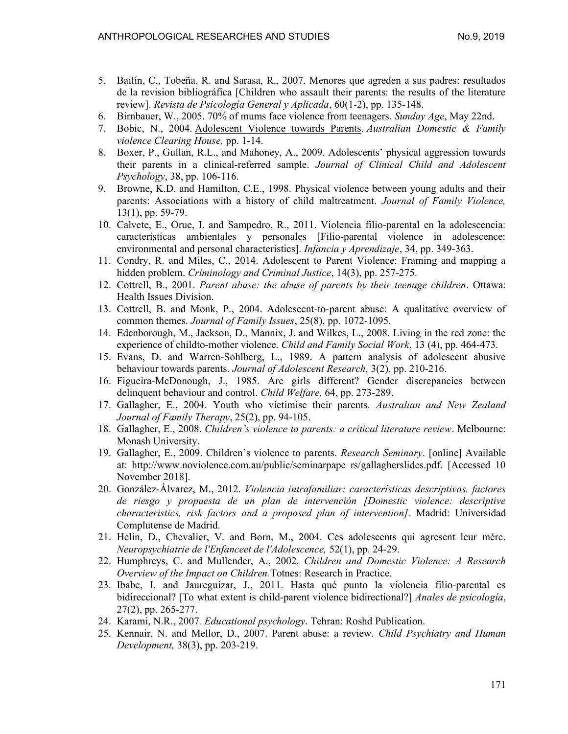- 5. Bailín, C., Tobeña, R. and Sarasa, R., 2007. Menores que agreden a sus padres: resultados de la revision bibliográfica [Children who assault their parents: the results of the literature review]. Revista de Psicología General y Aplicada, 60(1-2), pp. 135-148.
- 6. Birnbauer, W., 2005. 70% of mums face violence from teenagers. Sunday Age, May 22nd.
- 7. Bobic, N., 2004. Adolescent Violence towards Parents. Australian Domestic & Family violence Clearing House, pp. 1-14.
- 8. Boxer, P., Gullan, R.L., and Mahoney, A., 2009. Adolescents' physical aggression towards their parents in a clinical-referred sample. Journal of Clinical Child and Adolescent Psychology, 38, pp. 106-116.
- 9. Browne, K.D. and Hamilton, C.E., 1998. Physical violence between young adults and their parents: Associations with a history of child maltreatment. Journal of Family Violence, 13(1), pp. 59-79.
- 10. Calvete, E., Orue, I. and Sampedro, R., 2011. Violencia filio-parental en la adolescencia: características ambientales y personales [Filio-parental violence in adolescence: environmental and personal characteristics]. *Infancia y Aprendizaje*, 34, pp. 349-363.
- 11. Condry, R. and Miles, C., 2014. Adolescent to Parent Violence: Framing and mapping a hidden problem. Criminology and Criminal Justice, 14(3), pp. 257-275.
- 12. Cottrell, B., 2001. Parent abuse: the abuse of parents by their teenage children. Ottawa: Health Issues Division.
- 13. Cottrell, B. and Monk, P., 2004. Adolescent-to-parent abuse: A qualitative overview of common themes. Journal of Family Issues, 25(8), pp. 1072-1095.
- 14. Edenborough, M., Jackson, D., Mannix, J. and Wilkes, L., 2008. Living in the red zone: the experience of childto-mother violence. *Child and Family Social Work*, 13 (4), pp. 464-473.
- 15. Evans, D. and Warren-Sohlberg, L., 1989. A pattern analysis of adolescent abusive behaviour towards parents. Journal of Adolescent Research, 3(2), pp. 210-216.
- 16. Figueira-McDonough, J., 1985. Are girls different? Gender discrepancies between delinquent behaviour and control. Child Welfare, 64, pp. 273-289.
- 17. Gallagher, E., 2004. Youth who victimise their parents. Australian and New Zealand Journal of Family Therapy, 25(2), pp. 94-105.
- 18. Gallagher, E., 2008. Children's violence to parents: a critical literature review. Melbourne: Monash University.
- 19. Gallagher, E., 2009. Children's violence to parents. Research Seminary. [online] Available at: http://www.noviolence.com.au/public/seminarpape rs/gallagherslides.pdf. [Accessed 10 November 2018].
- 20. González-Álvarez, M., 2012. Violencia intrafamiliar: características descriptivas, factores de riesgo y propuesta de un plan de intervención [Domestic violence: descriptive characteristics, risk factors and a proposed plan of intervention]. Madrid: Universidad Complutense de Madrid.
- 21. Helin, D., Chevalier, V. and Born, M., 2004. Ces adolescents qui agresent leur mére. Neuropsychiatrie de l'Enfanceet de l'Adolescence, 52(1), pp. 24-29.
- 22. Humphreys, C. and Mullender, A., 2002. Children and Domestic Violence: A Research Overview of the Impact on Children.Totnes: Research in Practice.
- 23. Ibabe, I. and Jaureguizar, J., 2011. Hasta qué punto la violencia filio-parental es bidireccional? [To what extent is child-parent violence bidirectional?] Anales de psicología, 27(2), pp. 265-277.
- 24. Karami, N.R., 2007. Educational psychology. Tehran: Roshd Publication.
- 25. Kennair, N. and Mellor, D., 2007. Parent abuse: a review. Child Psychiatry and Human Development, 38(3), pp. 203-219.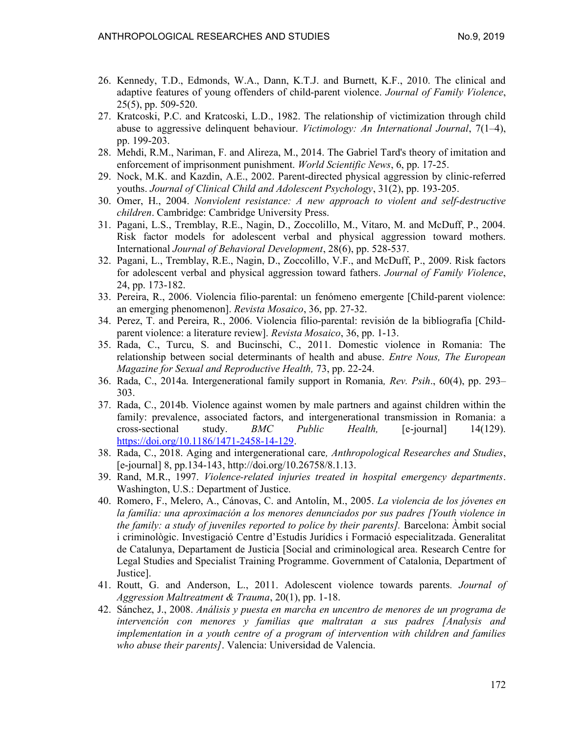- 26. Kennedy, T.D., Edmonds, W.A., Dann, K.T.J. and Burnett, K.F., 2010. The clinical and adaptive features of young offenders of child-parent violence. Journal of Family Violence, 25(5), pp. 509-520.
- 27. Kratcoski, P.C. and Kratcoski, L.D., 1982. The relationship of victimization through child abuse to aggressive delinquent behaviour. Victimology: An International Journal,  $7(1-4)$ , pp. 199-203.
- 28. Mehdi, R.M., Nariman, F. and Alireza, M., 2014. The Gabriel Tard's theory of imitation and enforcement of imprisonment punishment. *World Scientific News*, 6, pp. 17-25.
- 29. Nock, M.K. and Kazdin, A.E., 2002. Parent-directed physical aggression by clinic-referred youths. Journal of Clinical Child and Adolescent Psychology, 31(2), pp. 193-205.
- 30. Omer, H., 2004. Nonviolent resistance: A new approach to violent and self-destructive children. Cambridge: Cambridge University Press.
- 31. Pagani, L.S., Tremblay, R.E., Nagin, D., Zoccolillo, M., Vitaro, M. and McDuff, P., 2004. Risk factor models for adolescent verbal and physical aggression toward mothers. International Journal of Behavioral Development, 28(6), pp. 528-537.
- 32. Pagani, L., Tremblay, R.E., Nagin, D., Zoccolillo, V.F., and McDuff, P., 2009. Risk factors for adolescent verbal and physical aggression toward fathers. Journal of Family Violence, 24, pp. 173-182.
- 33. Pereira, R., 2006. Violencia filio-parental: un fenómeno emergente [Child-parent violence: an emerging phenomenon]. Revista Mosaico, 36, pp. 27-32.
- 34. Perez, T. and Pereira, R., 2006. Violencia filio-parental: revisión de la bibliografía [Childparent violence: a literature review]. Revista Mosaico, 36, pp. 1-13.
- 35. Rada, C., Turcu, S. and Bucinschi, C., 2011. Domestic violence in Romania: The relationship between social determinants of health and abuse. Entre Nous, The European Magazine for Sexual and Reproductive Health, 73, pp. 22-24.
- 36. Rada, C., 2014a. Intergenerational family support in Romania, Rev. Psih., 60(4), pp. 293– 303.
- 37. Rada, C., 2014b. Violence against women by male partners and against children within the family: prevalence, associated factors, and intergenerational transmission in Romania: a cross-sectional study.  $BMC$  *Public Health*, [e-journal] 14(129). https://doi.org/10.1186/1471-2458-14-129.
- 38. Rada, C., 2018. Aging and intergenerational care, Anthropological Researches and Studies, [e-journal] 8, pp.134-143, http://doi.org/10.26758/8.1.13.
- 39. Rand, M.R., 1997. Violence-related injuries treated in hospital emergency departments. Washington, U.S.: Department of Justice.
- 40. Romero, F., Melero, A., Cánovas, C. and Antolín, M., 2005. La violencia de los jóvenes en la familia: una aproximación a los menores denunciados por sus padres [Youth violence in the family: a study of juveniles reported to police by their parents]. Barcelona: Àmbit social i criminològic. Investigació Centre d'Estudis Jurídics i Formació especialitzada. Generalitat de Catalunya, Departament de Justicia [Social and criminological area. Research Centre for Legal Studies and Specialist Training Programme. Government of Catalonia, Department of Justice].
- 41. Routt, G. and Anderson, L., 2011. Adolescent violence towards parents. Journal of Aggression Maltreatment & Trauma, 20(1), pp. 1-18.
- 42. Sánchez, J., 2008. Análisis y puesta en marcha en uncentro de menores de un programa de intervención con menores y familias que maltratan a sus padres [Analysis and implementation in a youth centre of a program of intervention with children and families who abuse their parents]. Valencia: Universidad de Valencia.